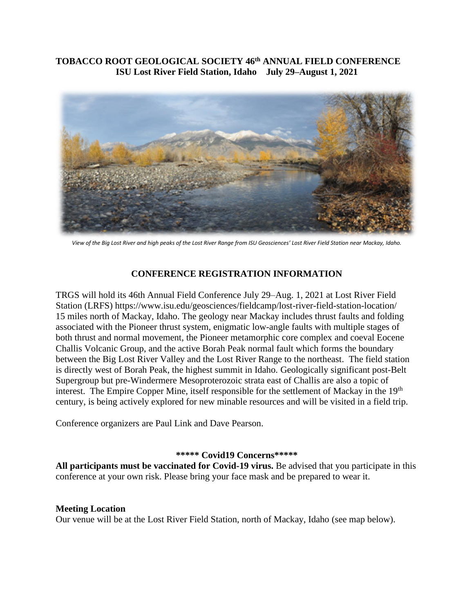## **TOBACCO ROOT GEOLOGICAL SOCIETY 46th ANNUAL FIELD CONFERENCE ISU Lost River Field Station, Idaho July 29–August 1, 2021**



*View of the Big Lost River and high peaks of the Lost River Range from ISU Geosciences' Lost River Field Station near Mackay, Idaho.*

#### **CONFERENCE REGISTRATION INFORMATION**

TRGS will hold its 46th Annual Field Conference July 29–Aug. 1, 2021 at Lost River Field Station (LRFS) https://www.isu.edu/geosciences/fieldcamp/lost-river-field-station-location/ 15 miles north of Mackay, Idaho. The geology near Mackay includes thrust faults and folding associated with the Pioneer thrust system, enigmatic low-angle faults with multiple stages of both thrust and normal movement, the Pioneer metamorphic core complex and coeval Eocene Challis Volcanic Group, and the active Borah Peak normal fault which forms the boundary between the Big Lost River Valley and the Lost River Range to the northeast. The field station is directly west of Borah Peak, the highest summit in Idaho. Geologically significant post-Belt Supergroup but pre-Windermere Mesoproterozoic strata east of Challis are also a topic of interest. The Empire Copper Mine, itself responsible for the settlement of Mackay in the 19<sup>th</sup> century, is being actively explored for new minable resources and will be visited in a field trip.

Conference organizers are Paul Link and Dave Pearson.

#### **\*\*\*\*\* Covid19 Concerns\*\*\*\*\***

**All participants must be vaccinated for Covid-19 virus.** Be advised that you participate in this conference at your own risk. Please bring your face mask and be prepared to wear it.

# **Meeting Location**

Our venue will be at the Lost River Field Station, north of Mackay, Idaho (see map below).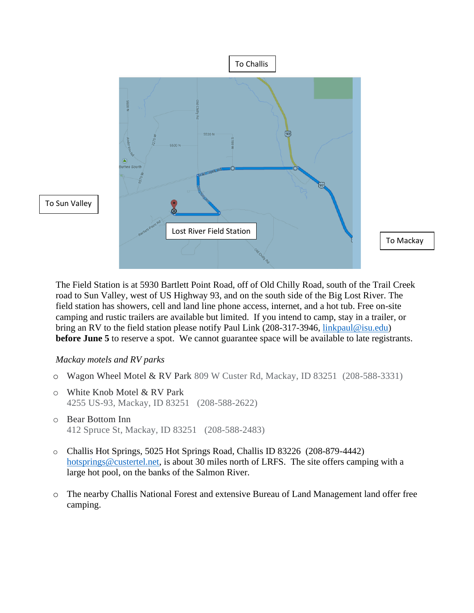

To Mackay

The Field Station is at 5930 Bartlett Point Road, off of Old Chilly Road, south of the Trail Creek road to Sun Valley, west of US Highway 93, and on the south side of the Big Lost River. The field station has showers, cell and land line phone access, internet, and a hot tub. Free on-site camping and rustic trailers are available but limited. If you intend to camp, stay in a trailer, or bring an RV to the field station please notify Paul Link (208-317-3946, [linkpaul@isu.edu\)](mailto:linkpaul@isu.edu) **before June 5** to reserve a spot. We cannot guarantee space will be available to late registrants.

## *Mackay motels and RV parks*

- o Wagon Wheel Motel & RV Park 809 W Custer Rd, Mackay, ID 83251 (208-588-3331)
- o White Knob Motel & RV Park 4255 US-93, Mackay, ID 83251 (208-588-2622)
- o Bear Bottom Inn 412 Spruce St, Mackay, ID 83251 (208-588-2483)
- o Challis Hot Springs, 5025 Hot Springs Road, Challis ID 83226 (208-879-4442) [hotsprings@custertel.net,](mailto:hotsprings@custertel.net) is about 30 miles north of LRFS. The site offers camping with a large hot pool, on the banks of the Salmon River.
- o The nearby Challis National Forest and extensive Bureau of Land Management land offer free camping.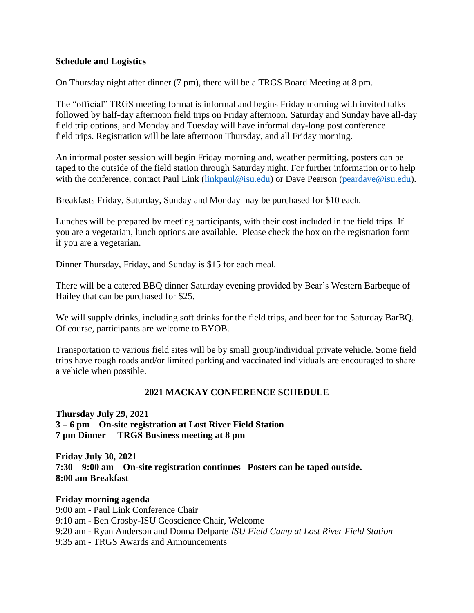#### **Schedule and Logistics**

On Thursday night after dinner (7 pm), there will be a TRGS Board Meeting at 8 pm.

The "official" TRGS meeting format is informal and begins Friday morning with invited talks followed by half-day afternoon field trips on Friday afternoon. Saturday and Sunday have all-day field trip options, and Monday and Tuesday will have informal day-long post conference field trips. Registration will be late afternoon Thursday, and all Friday morning.

An informal poster session will begin Friday morning and, weather permitting, posters can be taped to the outside of the field station through Saturday night. For further information or to help with the conference, contact Paul Link [\(linkpaul@isu.edu\)](mailto:linkpaul@isu.edu) or Dave Pearson [\(peardave@isu.edu\)](mailto:peardave@isu.edu).

Breakfasts Friday, Saturday, Sunday and Monday may be purchased for \$10 each.

Lunches will be prepared by meeting participants, with their cost included in the field trips. If you are a vegetarian, lunch options are available. Please check the box on the registration form if you are a vegetarian.

Dinner Thursday, Friday, and Sunday is \$15 for each meal.

There will be a catered BBQ dinner Saturday evening provided by Bear's Western Barbeque of Hailey that can be purchased for \$25.

We will supply drinks, including soft drinks for the field trips, and beer for the Saturday BarBQ. Of course, participants are welcome to BYOB.

Transportation to various field sites will be by small group/individual private vehicle. Some field trips have rough roads and/or limited parking and vaccinated individuals are encouraged to share a vehicle when possible.

## **2021 MACKAY CONFERENCE SCHEDULE**

**Thursday July 29, 2021 3 – 6 pm On-site registration at Lost River Field Station 7 pm Dinner TRGS Business meeting at 8 pm** 

**Friday July 30, 2021 7:30 – 9:00 am On-site registration continues Posters can be taped outside. 8:00 am Breakfast** 

**Friday morning agenda** 9:00 am **-** Paul Link Conference Chair 9:10 am - Ben Crosby-ISU Geoscience Chair, Welcome 9:20 am - Ryan Anderson and Donna Delparte *ISU Field Camp at Lost River Field Station*  9:35 am - TRGS Awards and Announcements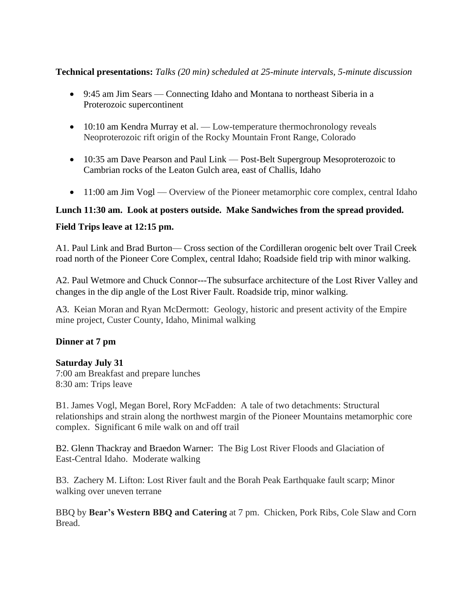## **Technical presentations:** *Talks (20 min) scheduled at 25-minute intervals, 5-minute discussion*

- 9:45 am Jim Sears Connecting Idaho and Montana to northeast Siberia in a Proterozoic supercontinent
- 10:10 am Kendra Murray et al. Low-temperature thermochronology reveals Neoproterozoic rift origin of the Rocky Mountain Front Range, Colorado
- 10:35 am Dave Pearson and Paul Link Post-Belt Supergroup Mesoproterozoic to Cambrian rocks of the Leaton Gulch area, east of Challis, Idaho
- 11:00 am Jim Vogl Overview of the Pioneer metamorphic core complex, central Idaho

## **Lunch 11:30 am. Look at posters outside. Make Sandwiches from the spread provided.**

## **Field Trips leave at 12:15 pm.**

A1. Paul Link and Brad Burton— Cross section of the Cordilleran orogenic belt over Trail Creek road north of the Pioneer Core Complex, central Idaho; Roadside field trip with minor walking.

A2. Paul Wetmore and Chuck Connor---The subsurface architecture of the Lost River Valley and changes in the dip angle of the Lost River Fault. Roadside trip, minor walking.

A3.Keian Moran and Ryan McDermott: Geology, historic and present activity of the Empire mine project, Custer County, Idaho, Minimal walking

## **Dinner at 7 pm**

## **Saturday July 31**

7:00 am Breakfast and prepare lunches 8:30 am: Trips leave

B1. James Vogl, Megan Borel, Rory McFadden: A tale of two detachments: Structural relationships and strain along the northwest margin of the Pioneer Mountains metamorphic core complex. Significant 6 mile walk on and off trail

B2. Glenn Thackray and Braedon Warner: The Big Lost River Floods and Glaciation of East-Central Idaho. Moderate walking

B3. Zachery M. Lifton: Lost River fault and the Borah Peak Earthquake fault scarp; Minor walking over uneven terrane

BBQ by **Bear's Western BBQ and Catering** at 7 pm. Chicken, Pork Ribs, Cole Slaw and Corn Bread.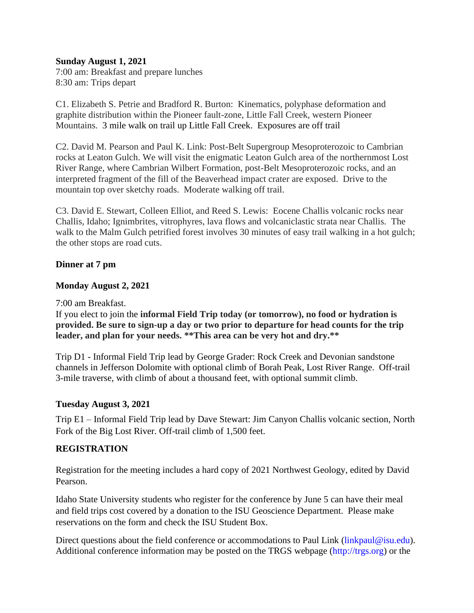#### **Sunday August 1, 2021**

7:00 am: Breakfast and prepare lunches 8:30 am: Trips depart

C1. Elizabeth S. Petrie and Bradford R. Burton: Kinematics, polyphase deformation and graphite distribution within the Pioneer fault-zone, Little Fall Creek, western Pioneer Mountains. 3 mile walk on trail up Little Fall Creek. Exposures are off trail

C2. David M. Pearson and Paul K. Link: Post-Belt Supergroup Mesoproterozoic to Cambrian rocks at Leaton Gulch. We will visit the enigmatic Leaton Gulch area of the northernmost Lost River Range, where Cambrian Wilbert Formation, post-Belt Mesoproterozoic rocks, and an interpreted fragment of the fill of the Beaverhead impact crater are exposed. Drive to the mountain top over sketchy roads. Moderate walking off trail.

C3. David E. Stewart, Colleen Elliot, and Reed S. Lewis: Eocene Challis volcanic rocks near Challis, Idaho; Ignimbrites, vitrophyres, lava flows and volcaniclastic strata near Challis. The walk to the Malm Gulch petrified forest involves 30 minutes of easy trail walking in a hot gulch; the other stops are road cuts.

## **Dinner at 7 pm**

## **Monday August 2, 2021**

7:00 am Breakfast.

If you elect to join the **informal Field Trip today (or tomorrow), no food or hydration is provided. Be sure to sign-up a day or two prior to departure for head counts for the trip leader, and plan for your needs. \*\*This area can be very hot and dry.\*\***

Trip D1 - Informal Field Trip lead by George Grader: Rock Creek and Devonian sandstone channels in Jefferson Dolomite with optional climb of Borah Peak, Lost River Range. Off-trail 3-mile traverse, with climb of about a thousand feet, with optional summit climb.

#### **Tuesday August 3, 2021**

Trip E1 – Informal Field Trip lead by Dave Stewart: Jim Canyon Challis volcanic section, North Fork of the Big Lost River. Off-trail climb of 1,500 feet.

## **REGISTRATION**

Registration for the meeting includes a hard copy of 2021 Northwest Geology, edited by David Pearson.

Idaho State University students who register for the conference by June 5 can have their meal and field trips cost covered by a donation to the ISU Geoscience Department. Please make reservations on the form and check the ISU Student Box.

Direct questions about the field conference or accommodations to Paul Link (linkpaul@isu.edu). Additional conference information may be posted on the TRGS webpage (http://trgs.org) or the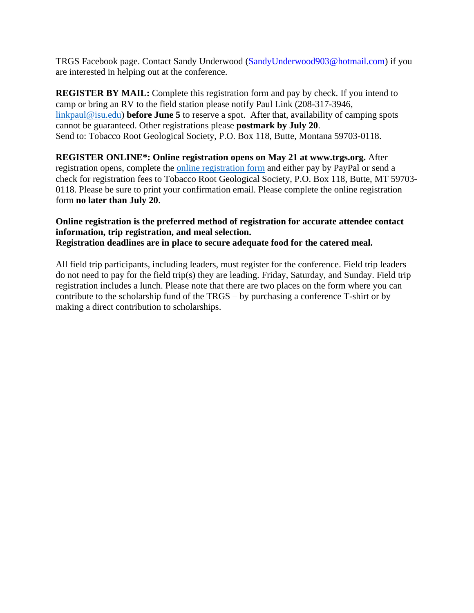TRGS Facebook page. Contact Sandy Underwood (SandyUnderwood903@hotmail.com) if you are interested in helping out at the conference.

**REGISTER BY MAIL:** Complete this registration form and pay by check. If you intend to camp or bring an RV to the field station please notify Paul Link (208-317-3946, [linkpaul@isu.edu\)](mailto:linkpaul@isu.edu) **before June 5** to reserve a spot. After that, availability of camping spots cannot be guaranteed. Other registrations please **postmark by July 20**. Send to: Tobacco Root Geological Society, P.O. Box 118, Butte, Montana 59703-0118.

**REGISTER ONLINE\*: Online registration opens on May 21 at www.trgs.org.** After registration opens, complete the [online registration form](https://www.trgs.org/conference-registration) and either pay by PayPal or send a check for registration fees to Tobacco Root Geological Society, P.O. Box 118, Butte, MT 59703- 0118. Please be sure to print your confirmation email. Please complete the online registration form **no later than July 20**.

## **Online registration is the preferred method of registration for accurate attendee contact information, trip registration, and meal selection. Registration deadlines are in place to secure adequate food for the catered meal.**

All field trip participants, including leaders, must register for the conference. Field trip leaders do not need to pay for the field trip(s) they are leading. Friday, Saturday, and Sunday. Field trip registration includes a lunch. Please note that there are two places on the form where you can contribute to the scholarship fund of the TRGS – by purchasing a conference T-shirt or by making a direct contribution to scholarships.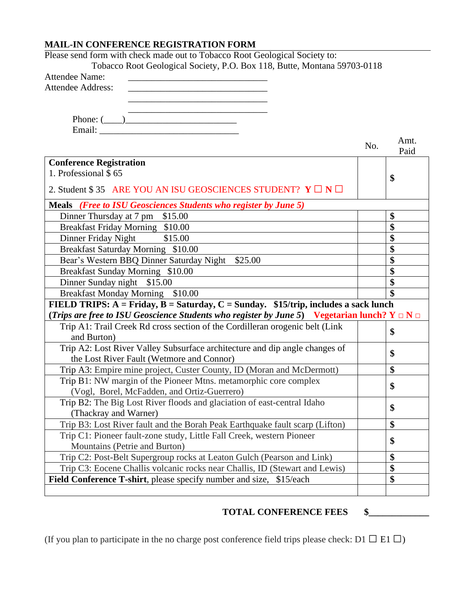## **MAIL-IN CONFERENCE REGISTRATION FORM**

| Please send form with check made out to Tobacco Root Geological Society to:                          |     |              |
|------------------------------------------------------------------------------------------------------|-----|--------------|
| Tobacco Root Geological Society, P.O. Box 118, Butte, Montana 59703-0118                             |     |              |
| <b>Attendee Name:</b>                                                                                |     |              |
| <b>Attendee Address:</b>                                                                             |     |              |
|                                                                                                      |     |              |
|                                                                                                      |     |              |
| $\text{Phone: } (\_\_)$                                                                              |     |              |
|                                                                                                      |     |              |
|                                                                                                      | No. | Amt.<br>Paid |
| <b>Conference Registration</b>                                                                       |     |              |
| 1. Professional \$65                                                                                 |     | \$           |
| 2. Student \$35 ARE YOU AN ISU GEOSCIENCES STUDENT? $Y \square N \square$                            |     |              |
| Meals (Free to ISU Geosciences Students who register by June 5)                                      |     |              |
| Dinner Thursday at 7 pm \$15.00                                                                      |     | \$           |
| Breakfast Friday Morning \$10.00                                                                     |     | \$           |
| Dinner Friday Night<br>\$15.00                                                                       |     | \$           |
| Breakfast Saturday Morning \$10.00                                                                   |     | \$           |
| Bear's Western BBQ Dinner Saturday Night \$25.00                                                     |     | \$           |
| Breakfast Sunday Morning \$10.00                                                                     |     | \$           |
| Dinner Sunday night \$15.00                                                                          |     | \$           |
| Breakfast Monday Morning \$10.00                                                                     |     |              |
| FIELD TRIPS: $A =$ Friday, $B =$ Saturday, $C =$ Sunday. \$15/trip, includes a sack lunch            |     |              |
| (Trips are free to ISU Geoscience Students who register by June 5) Vegetarian lunch? $Y \Box N \Box$ |     |              |
| Trip A1: Trail Creek Rd cross section of the Cordilleran orogenic belt (Link                         |     |              |
| and Burton)                                                                                          |     | \$           |
| Trip A2: Lost River Valley Subsurface architecture and dip angle changes of                          |     |              |
| the Lost River Fault (Wetmore and Connor)                                                            |     | \$           |
| Trip A3: Empire mine project, Custer County, ID (Moran and McDermott)                                |     | \$           |
| Trip B1: NW margin of the Pioneer Mtns. metamorphic core complex                                     |     | \$           |
| (Vogl, Borel, McFadden, and Ortiz-Guerrero)                                                          |     |              |
| Trip B2: The Big Lost River floods and glaciation of east-central Idaho                              |     | \$           |
| (Thackray and Warner)                                                                                |     |              |
| Trip B3: Lost River fault and the Borah Peak Earthquake fault scarp (Lifton)                         |     | \$           |
| Trip C1: Pioneer fault-zone study, Little Fall Creek, western Pioneer                                |     |              |
| Mountains (Petrie and Burton)                                                                        |     | \$           |
| Trip C2: Post-Belt Supergroup rocks at Leaton Gulch (Pearson and Link)                               |     | \$           |
| Trip C3: Eocene Challis volcanic rocks near Challis, ID (Stewart and Lewis)                          |     | \$           |
| <b>Field Conference T-shirt, please specify number and size, \$15/each</b>                           |     | \$           |
|                                                                                                      |     |              |
|                                                                                                      |     |              |

# **TOTAL CONFERENCE FEES \$\_\_\_\_\_\_\_\_\_\_\_\_\_**

(If you plan to participate in the no charge post conference field trips please check: D1  $\Box$  E1  $\Box$ )